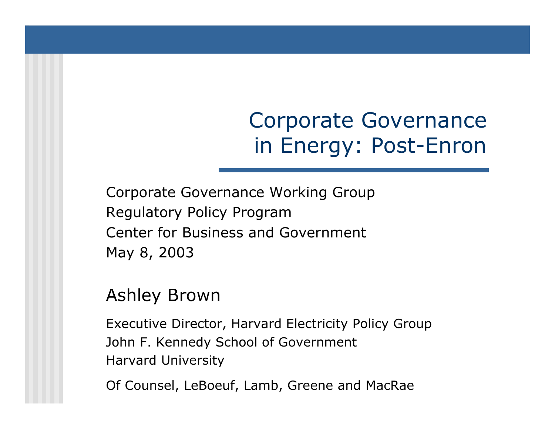### Corporate Governance in Energy: Post-Enron

Corporate Governance Working Group Regulatory Policy Program Center for Business and GovernmentMay 8, 2003

#### Ashley Brown

Executive Director, Harvard Electricity Policy Gro u p John F. Kennedy School of Government Harvard University

Of Counsel, LeBoeuf, Lamb, Greene and MacRae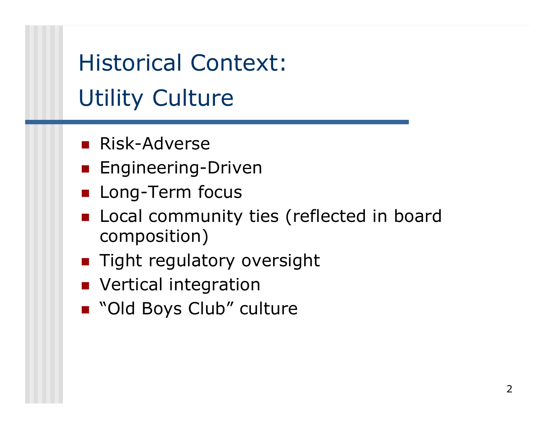Historical Context:Utility Culture

- **Risk-Adverse**
- **E**ngineering-Driven
- **Long-Term focus**
- **Local community ties (reflected in board** composition)
- **Tight regulatory oversight**
- **NANAILE** Vertical integration
- "Old Boys Club" culture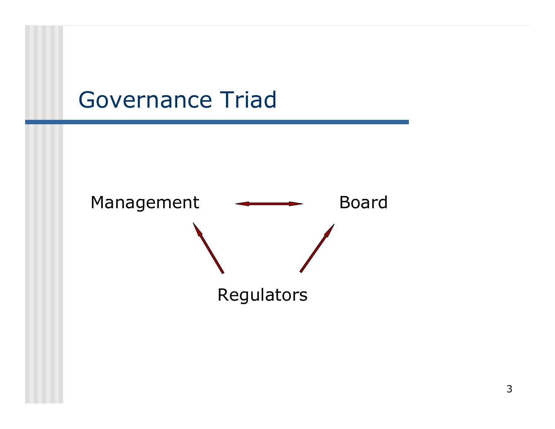#### Governance Triad

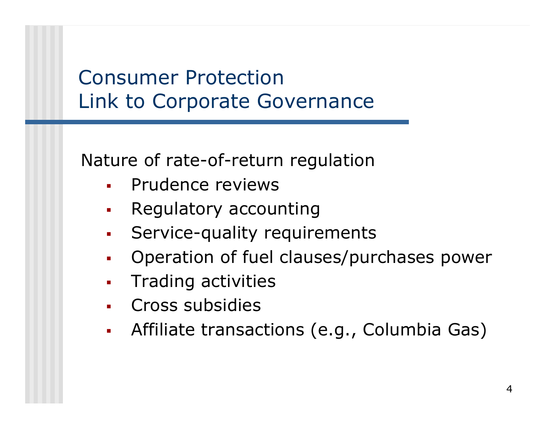#### Consumer Protection Link to Corporate Governance

Nature of rate-of-return regulation

- П Prudence reviews
- П Regulatory accounting
- П Service-quality requirements
- П Operation of fuel clauses/purch ases power
- П Trading activities
- П Cross subsidies
- П Affiliate transactions (e.g., Columbia Gas)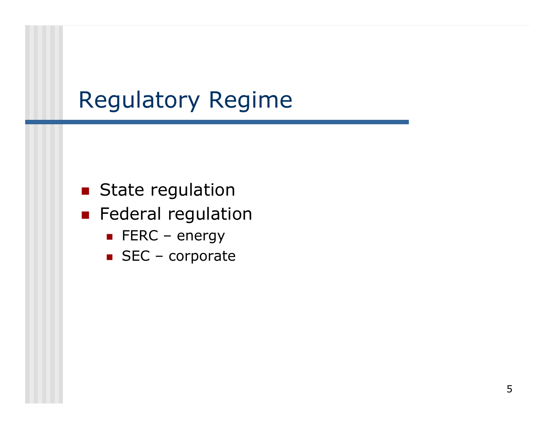# Regulatory Regime

- **State regulation**
- **Federal regulation** 
	- $\blacksquare$  FERC energy
	- SEC corporate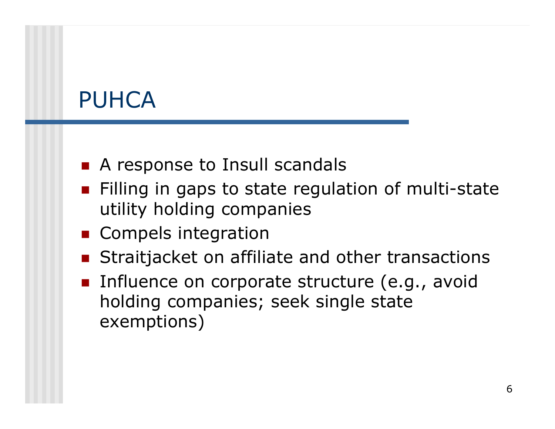### PUHCA

- A response to Insull scandals
- **Filling in gaps to state regulation of multi-state** utility holding companies
- **Compels integration**
- **Straitjacket on affiliate and other transactions**
- **Influence on corporate structure (e.g., avoid** holding companies; seek single state exemptions)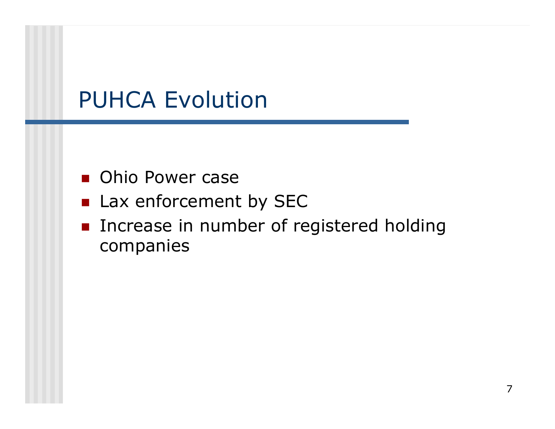# PUHCA Evolution

- Ohio Power case
- **Lax enforcement by SEC**
- **Increase in number of registered holding** companies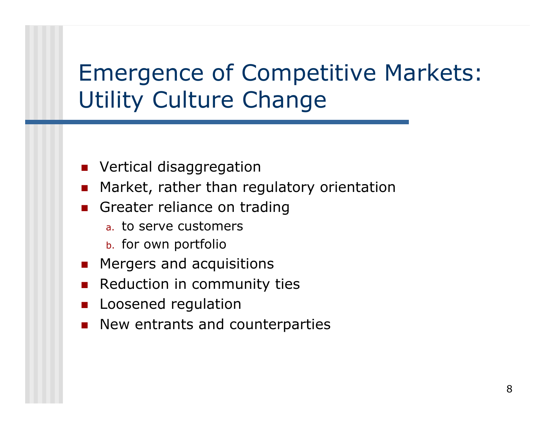# Emergence of Competitive Markets: Utility Culture Change

- **Number 19 September 19 September 10 September 10 September 10 September 10 September 20 September 20 September**
- $\overline{\phantom{a}}$ Market, rather than regulatory orientation
- **Greater reliance on trading** 
	- <sub>a.</sub> to serve customers
	- b. for own portfolio
- **EXPERGERS And acquisitions**
- $\overline{\phantom{a}}$ Reduction in community ties
- F Loosened regulation
- F New entrants and counterparties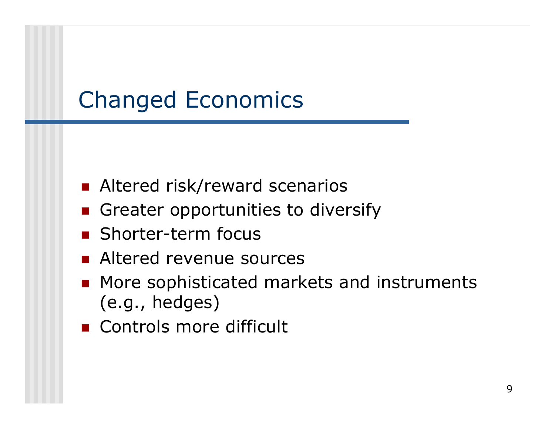# Changed Economics

- **Altered risk/reward scenarios**
- **Greater opportunities to diversify**
- **Shorter-term focus**
- **Altered revenue sources**
- **More sophisticated markets and instruments** (e.g., hedges)
- **Controls more difficult**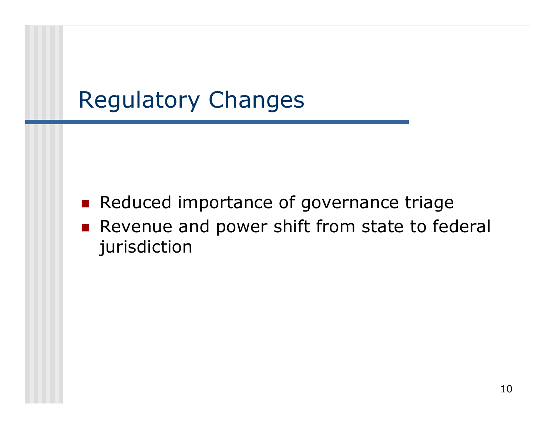# Regulatory Changes

- $\mathcal{L}_{\rm{eff}}$ Reduced importance of governance triage
- **Revenue and power shift from state to federal** jurisdiction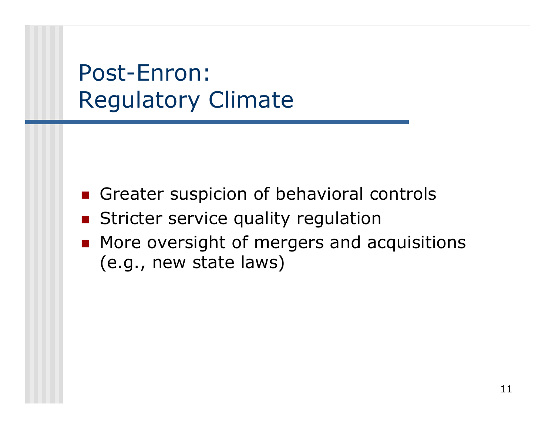# Post-Enron:Regulatory Climate

- Greater suspicion of behavioral controls
- $\overline{\phantom{a}}$ Stricter service quality regulation
- **More oversight of mergers and acquisitions** (e.g., new state laws)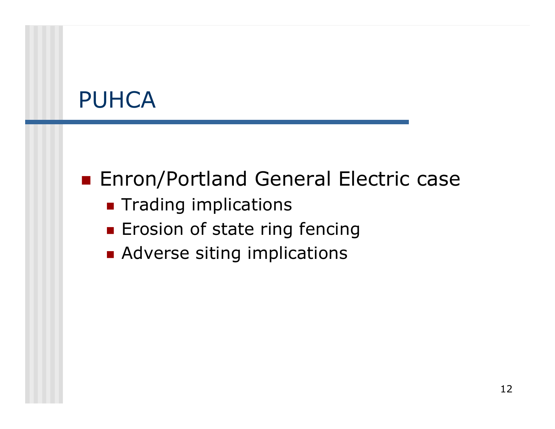# PUHCA

#### ■ Enron/Portland General Electric case

- **Trading implications**
- **Erosion of state ring fencing**
- **Adverse siting implications**